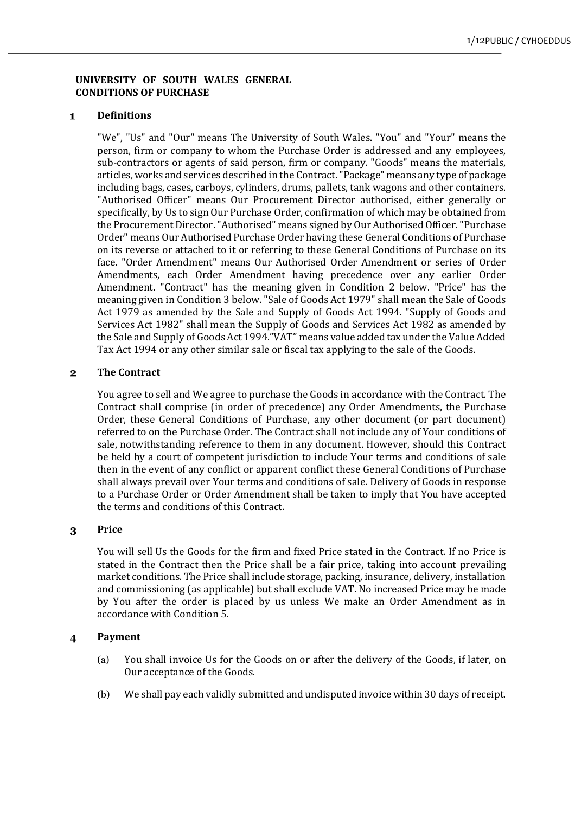# **UNIVERSITY OF SOUTH WALES GENERAL CONDITIONS OF PURCHASE**

#### **Definitions**  $\mathbf{1}$

"We", "Us" and "Our" means The University of South Wales. "You" and "Your" means the person, firm or company to whom the Purchase Order is addressed and any employees, sub-contractors or agents of said person, firm or company. "Goods" means the materials, articles, works and services described in the Contract. "Package" means any type of package including bags, cases, carboys, cylinders, drums, pallets, tank wagons and other containers. "Authorised Officer" means Our Procurement Director authorised, either generally or specifically, by Us to sign Our Purchase Order, confirmation of which may be obtained from the Procurement Director. "Authorised" means signed by Our Authorised Officer. "Purchase Order" means Our Authorised Purchase Order having these General Conditions of Purchase on its reverse or attached to it or referring to these General Conditions of Purchase on its face. "Order Amendment" means Our Authorised Order Amendment or series of Order Amendments, each Order Amendment having precedence over any earlier Order Amendment. "Contract" has the meaning given in Condition 2 below. "Price" has the meaning given in Condition 3 below. "Sale of Goods Act 1979" shall mean the Sale of Goods Act 1979 as amended by the Sale and Supply of Goods Act 1994. "Supply of Goods and Services Act 1982" shall mean the Supply of Goods and Services Act 1982 as amended by the Sale and Supply of Goods Act 1994."VAT" means value added tax under the Value Added Tax Act 1994 or any other similar sale or fiscal tax applying to the sale of the Goods.

#### $\overline{2}$ **The Contract**

You agree to sell and We agree to purchase the Goods in accordance with the Contract. The Contract shall comprise (in order of precedence) any Order Amendments, the Purchase Order, these General Conditions of Purchase, any other document (or part document) referred to on the Purchase Order. The Contract shall not include any of Your conditions of sale, notwithstanding reference to them in any document. However, should this Contract be held by a court of competent jurisdiction to include Your terms and conditions of sale then in the event of any conflict or apparent conflict these General Conditions of Purchase shall always prevail over Your terms and conditions of sale. Delivery of Goods in response to a Purchase Order or Order Amendment shall be taken to imply that You have accepted the terms and conditions of this Contract.

## **Price** 3

You will sell Us the Goods for the firm and fixed Price stated in the Contract. If no Price is stated in the Contract then the Price shall be a fair price, taking into account prevailing market conditions. The Price shall include storage, packing, insurance, delivery, installation and commissioning (as applicable) but shall exclude VAT. No increased Price may be made by You after the order is placed by us unless We make an Order Amendment as in accordance with Condition 5.

## $\overline{\mathbf{4}}$ **Payment**

- (a) You shall invoice Us for the Goods on or after the delivery of the Goods, if later, on Our acceptance of the Goods.
- (b) We shall pay each validly submitted and undisputed invoice within 30 days of receipt.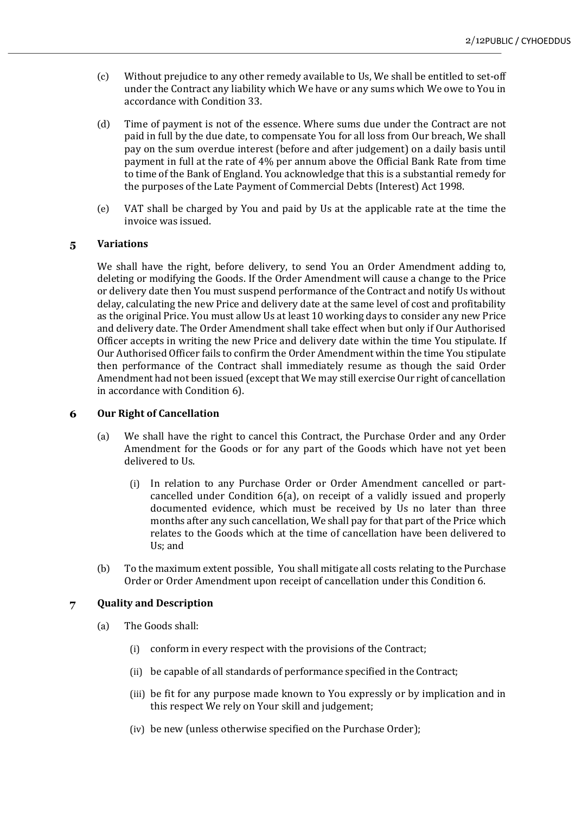- (c) Without prejudice to any other remedy available to Us, We shall be entitled to set-off under the Contract any liability which We have or any sums which We owe to You in accordance with Condition 33.
- (d) Time of payment is not of the essence. Where sums due under the Contract are not paid in full by the due date, to compensate You for all loss from Our breach, We shall pay on the sum overdue interest (before and after judgement) on a daily basis until payment in full at the rate of 4% per annum above the Official Bank Rate from time to time of the Bank of England. You acknowledge that this is a substantial remedy for the purposes of the Late Payment of Commercial Debts (Interest) Act 1998.
- (e) VAT shall be charged by You and paid by Us at the applicable rate at the time the invoice was issued.

# **Variations**  $\overline{\mathbf{5}}$

We shall have the right, before delivery, to send You an Order Amendment adding to, deleting or modifying the Goods. If the Order Amendment will cause a change to the Price or delivery date then You must suspend performance of the Contract and notify Us without delay, calculating the new Price and delivery date at the same level of cost and profitability as the original Price. You must allow Us at least 10 working days to consider any new Price and delivery date. The Order Amendment shall take effect when but only if Our Authorised Officer accepts in writing the new Price and delivery date within the time You stipulate. If Our Authorised Officer fails to confirm the Order Amendment within the time You stipulate then performance of the Contract shall immediately resume as though the said Order Amendment had not been issued (except that We may still exercise Our right of cancellation in accordance with Condition 6).

## **Our Right of Cancellation** 6

- (a) We shall have the right to cancel this Contract, the Purchase Order and any Order Amendment for the Goods or for any part of the Goods which have not yet been delivered to Us.
	- (i) In relation to any Purchase Order or Order Amendment cancelled or partcancelled under Condition 6(a), on receipt of a validly issued and properly documented evidence, which must be received by Us no later than three months after any such cancellation, We shall pay for that part of the Price which relates to the Goods which at the time of cancellation have been delivered to Us; and
- (b) To the maximum extent possible, You shall mitigate all costs relating to the Purchase Order or Order Amendment upon receipt of cancellation under this Condition 6.

# **Quality and Description**  $\overline{7}$

- (a) The Goods shall:
	- $(i)$  conform in every respect with the provisions of the Contract;
	- (ii) be capable of all standards of performance specified in the Contract;
	- (iii) be fit for any purpose made known to You expressly or by implication and in this respect We rely on Your skill and judgement;
	- (iv) be new (unless otherwise specified on the Purchase Order);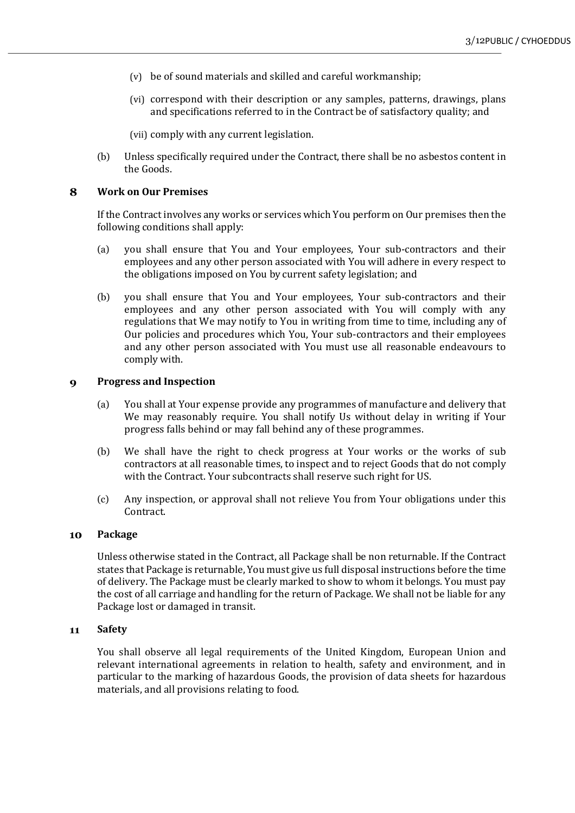- $(v)$  be of sound materials and skilled and careful workmanship;
- (vi) correspond with their description or any samples, patterns, drawings, plans and specifications referred to in the Contract be of satisfactory quality; and

(vii) comply with any current legislation.

(b) Unless specifically required under the Contract, there shall be no asbestos content in the Goods.

#### 8 **Work on Our Premises**

If the Contract involves any works or services which You perform on Our premises then the following conditions shall apply:

- (a) you shall ensure that You and Your employees, Your sub-contractors and their employees and any other person associated with You will adhere in every respect to the obligations imposed on You by current safety legislation; and
- (b) you shall ensure that You and Your employees, Your sub-contractors and their employees and any other person associated with You will comply with any regulations that We may notify to You in writing from time to time, including any of Our policies and procedures which You, Your sub-contractors and their employees and any other person associated with You must use all reasonable endeavours to comply with.

#### $\boldsymbol{9}$ **Progress and Inspection**

- (a) You shall at Your expense provide any programmes of manufacture and delivery that We may reasonably require. You shall notify Us without delay in writing if Your progress falls behind or may fall behind any of these programmes.
- (b) We shall have the right to check progress at Your works or the works of sub contractors at all reasonable times, to inspect and to reject Goods that do not comply with the Contract. Your subcontracts shall reserve such right for US.
- (c) Any inspection, or approval shall not relieve You from Your obligations under this Contract.

#### 10 **Package**

Unless otherwise stated in the Contract, all Package shall be non returnable. If the Contract states that Package is returnable, You must give us full disposal instructions before the time of delivery. The Package must be clearly marked to show to whom it belongs. You must pay the cost of all carriage and handling for the return of Package. We shall not be liable for any Package lost or damaged in transit.

#### **Safety**  $11$

You shall observe all legal requirements of the United Kingdom, European Union and relevant international agreements in relation to health, safety and environment, and in particular to the marking of hazardous Goods, the provision of data sheets for hazardous materials, and all provisions relating to food.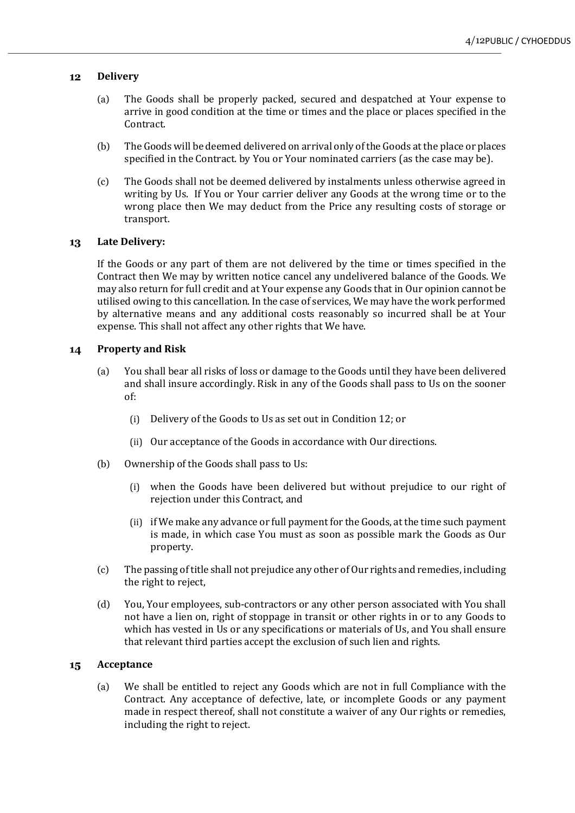## **Delivery**  $12$

- (a) The Goods shall be properly packed, secured and despatched at Your expense to arrive in good condition at the time or times and the place or places specified in the Contract.
- (b) The Goods will be deemed delivered on arrival only of the Goods at the place or places specified in the Contract. by You or Your nominated carriers (as the case may be).
- (c) The Goods shall not be deemed delivered by instalments unless otherwise agreed in writing by Us. If You or Your carrier deliver any Goods at the wrong time or to the wrong place then We may deduct from the Price any resulting costs of storage or transport.

# 13 Late Delivery:

If the Goods or any part of them are not delivered by the time or times specified in the Contract then We may by written notice cancel any undelivered balance of the Goods. We may also return for full credit and at Your expense any Goods that in Our opinion cannot be utilised owing to this cancellation. In the case of services, We may have the work performed by alternative means and any additional costs reasonably so incurred shall be at Your expense. This shall not affect any other rights that We have.

## **Property and Risk**  $14$

- (a) You shall bear all risks of loss or damage to the Goods until they have been delivered and shall insure accordingly. Risk in any of the Goods shall pass to Us on the sooner of:
	- (i) Delivery of the Goods to Us as set out in Condition 12; or
	- (ii) Our acceptance of the Goods in accordance with Our directions.
- (b) Ownership of the Goods shall pass to Us:
	- (i) when the Goods have been delivered but without prejudice to our right of rejection under this Contract, and
	- (ii) if We make any advance or full payment for the Goods, at the time such payment is made, in which case You must as soon as possible mark the Goods as Our property.
- (c) The passing of title shall not prejudice any other of Our rights and remedies, including the right to reject,
- (d) You, Your employees, sub-contractors or any other person associated with You shall not have a lien on, right of stoppage in transit or other rights in or to any Goods to which has vested in Us or any specifications or materials of Us, and You shall ensure that relevant third parties accept the exclusion of such lien and rights.

## **Acceptance**  $15$

(a) We shall be entitled to reject any Goods which are not in full Compliance with the Contract. Any acceptance of defective, late, or incomplete Goods or any payment made in respect thereof, shall not constitute a waiver of any Our rights or remedies, including the right to reject.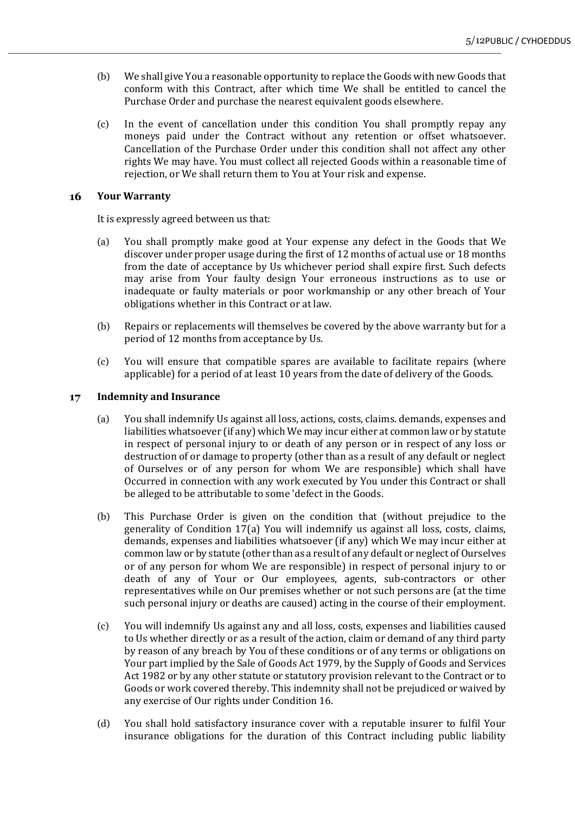- (b) We shall give You a reasonable opportunity to replace the Goods with new Goods that conform with this Contract, after which time We shall be entitled to cancel the Purchase Order and purchase the nearest equivalent goods elsewhere.
- $(c)$  In the event of cancellation under this condition You shall promptly repay any moneys paid under the Contract without any retention or offset whatsoever. Cancellation of the Purchase Order under this condition shall not affect any other rights We may have. You must collect all rejected Goods within a reasonable time of rejection, or We shall return them to You at Your risk and expense.

## 16 **Your Warranty**

It is expressly agreed between us that:

- (a) You shall promptly make good at Your expense any defect in the Goods that We discover under proper usage during the first of 12 months of actual use or 18 months from the date of acceptance by Us whichever period shall expire first. Such defects may arise from Your faulty design Your erroneous instructions as to use or inadequate or faulty materials or poor workmanship or any other breach of Your obligations whether in this Contract or at law.
- (b) Repairs or replacements will themselves be covered by the above warranty but for a period of 12 months from acceptance by Us.
- (c) You will ensure that compatible spares are available to facilitate repairs (where applicable) for a period of at least 10 years from the date of delivery of the Goods.

#### **Indemnity and Insurance**  $17$

- (a) You shall indemnify Us against all loss, actions, costs, claims. demands, expenses and liabilities whatsoever (if any) which We may incur either at common law or by statute in respect of personal injury to or death of any person or in respect of any loss or destruction of or damage to property (other than as a result of any default or neglect of Ourselves or of any person for whom We are responsible) which shall have Occurred in connection with any work executed by You under this Contract or shall be alleged to be attributable to some 'defect in the Goods.
- (b) This Purchase Order is given on the condition that (without prejudice to the generality of Condition  $17(a)$  You will indemnify us against all loss, costs, claims, demands, expenses and liabilities whatsoever (if any) which We may incur either at common law or by statute (other than as a result of any default or neglect of Ourselves or of any person for whom We are responsible) in respect of personal injury to or death of any of Your or Our employees, agents, sub-contractors or other representatives while on Our premises whether or not such persons are (at the time such personal injury or deaths are caused) acting in the course of their employment.
- (c) You will indemnify Us against any and all loss, costs, expenses and liabilities caused to Us whether directly or as a result of the action, claim or demand of any third party by reason of any breach by You of these conditions or of any terms or obligations on Your part implied by the Sale of Goods Act 1979, by the Supply of Goods and Services Act 1982 or by any other statute or statutory provision relevant to the Contract or to Goods or work covered thereby. This indemnity shall not be prejudiced or waived by any exercise of Our rights under Condition 16.
- (d) You shall hold satisfactory insurance cover with a reputable insurer to fulfil Your insurance obligations for the duration of this Contract including public liability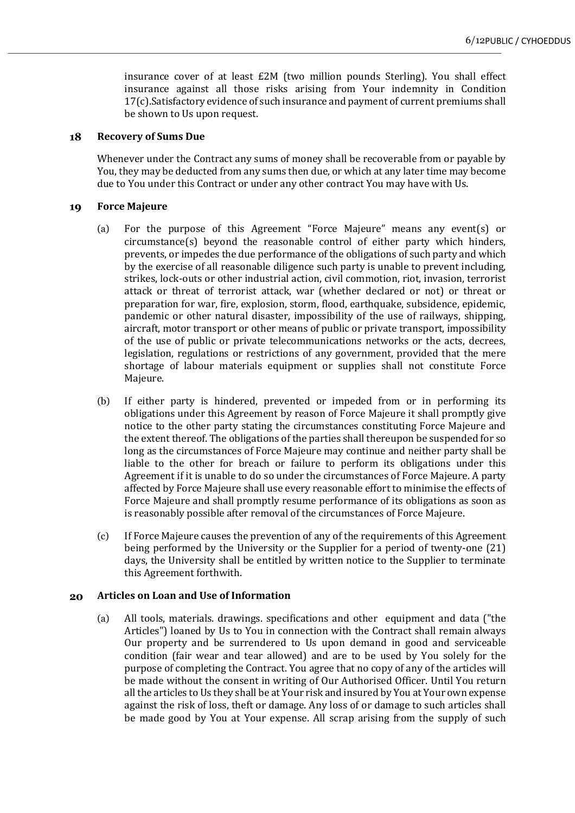insurance cover of at least £2M (two million pounds Sterling). You shall effect insurance against all those risks arising from Your indemnity in Condition  $17(c)$ . Satisfactory evidence of such insurance and payment of current premiums shall be shown to Us upon request.

## 18 **Recovery of Sums Due**

Whenever under the Contract any sums of money shall be recoverable from or payable by You, they may be deducted from any sums then due, or which at any later time may become due to You under this Contract or under any other contract You may have with Us.

# 19 **Force Majeure**

- (a) For the purpose of this Agreement "Force Majeure" means any event(s) or  $circumstance(s)$  beyond the reasonable control of either party which hinders, prevents, or impedes the due performance of the obligations of such party and which by the exercise of all reasonable diligence such party is unable to prevent including, strikes, lock-outs or other industrial action, civil commotion, riot, invasion, terrorist attack or threat of terrorist attack, war (whether declared or not) or threat or preparation for war, fire, explosion, storm, flood, earthquake, subsidence, epidemic, pandemic or other natural disaster, impossibility of the use of railways, shipping, aircraft, motor transport or other means of public or private transport, impossibility of the use of public or private telecommunications networks or the acts, decrees, legislation, regulations or restrictions of any government, provided that the mere shortage of labour materials equipment or supplies shall not constitute Force Majeure.
- (b) If either party is hindered, prevented or impeded from or in performing its obligations under this Agreement by reason of Force Majeure it shall promptly give notice to the other party stating the circumstances constituting Force Majeure and the extent thereof. The obligations of the parties shall thereupon be suspended for so long as the circumstances of Force Majeure may continue and neither party shall be liable to the other for breach or failure to perform its obligations under this Agreement if it is unable to do so under the circumstances of Force Majeure. A party affected by Force Majeure shall use every reasonable effort to minimise the effects of Force Majeure and shall promptly resume performance of its obligations as soon as is reasonably possible after removal of the circumstances of Force Majeure.
- (c) If Force Majeure causes the prevention of any of the requirements of this Agreement being performed by the University or the Supplier for a period of twenty-one  $(21)$ days, the University shall be entitled by written notice to the Supplier to terminate this Agreement forthwith.

## 20 **Articles on Loan and Use of Information**

(a) All tools, materials. drawings. specifications and other equipment and data ("the Articles") loaned by Us to You in connection with the Contract shall remain always Our property and be surrendered to Us upon demand in good and serviceable condition (fair wear and tear allowed) and are to be used by You solely for the purpose of completing the Contract. You agree that no copy of any of the articles will be made without the consent in writing of Our Authorised Officer. Until You return all the articles to Us they shall be at Your risk and insured by You at Your own expense against the risk of loss, theft or damage. Any loss of or damage to such articles shall be made good by You at Your expense. All scrap arising from the supply of such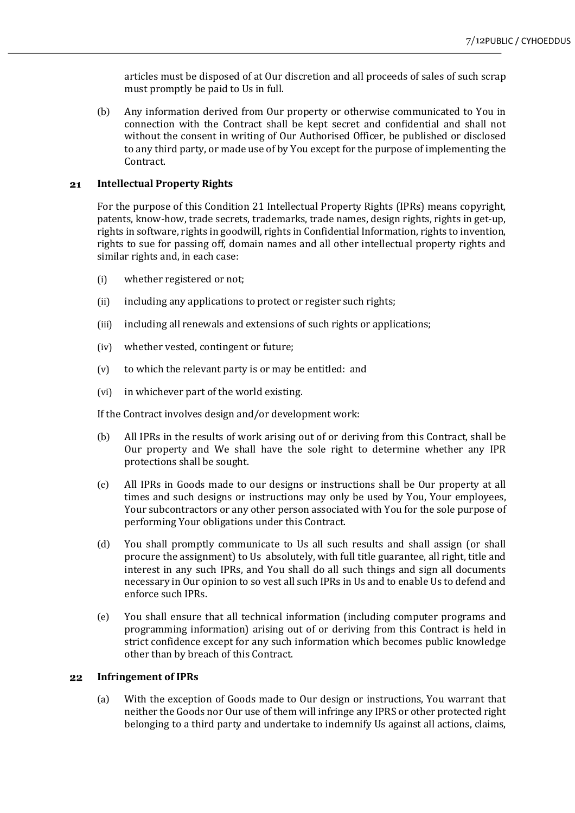articles must be disposed of at Our discretion and all proceeds of sales of such scrap must promptly be paid to Us in full.

(b) Any information derived from Our property or otherwise communicated to You in connection with the Contract shall be kept secret and confidential and shall not without the consent in writing of Our Authorised Officer, be published or disclosed to any third party, or made use of by You except for the purpose of implementing the Contract.

## **Intellectual Property Rights** 21

For the purpose of this Condition 21 Intellectual Property Rights (IPRs) means copyright, patents, know-how, trade secrets, trademarks, trade names, design rights, rights in get-up, rights in software, rights in goodwill, rights in Confidential Information, rights to invention, rights to sue for passing off, domain names and all other intellectual property rights and similar rights and, in each case:

- (i) whether registered or not;
- (ii) including any applications to protect or register such rights;
- (iii) including all renewals and extensions of such rights or applications;
- (iv) whether vested, contingent or future;
- $(v)$  to which the relevant party is or may be entitled: and
- (vi) in whichever part of the world existing.

If the Contract involves design and/or development work:

- (b) All IPRs in the results of work arising out of or deriving from this Contract, shall be Our property and We shall have the sole right to determine whether any IPR protections shall be sought.
- (c) All IPRs in Goods made to our designs or instructions shall be Our property at all times and such designs or instructions may only be used by You, Your employees, Your subcontractors or any other person associated with You for the sole purpose of performing Your obligations under this Contract.
- (d) You shall promptly communicate to Us all such results and shall assign (or shall procure the assignment) to Us absolutely, with full title guarantee, all right, title and interest in any such IPRs, and You shall do all such things and sign all documents necessary in Our opinion to so vest all such IPRs in Us and to enable Us to defend and enforce such IPRs.
- (e) You shall ensure that all technical information (including computer programs and programming information) arising out of or deriving from this Contract is held in strict confidence except for any such information which becomes public knowledge other than by breach of this Contract.

## $22$ **Infringement of IPRs**

(a) With the exception of Goods made to Our design or instructions, You warrant that neither the Goods nor Our use of them will infringe any IPRS or other protected right belonging to a third party and undertake to indemnify Us against all actions, claims,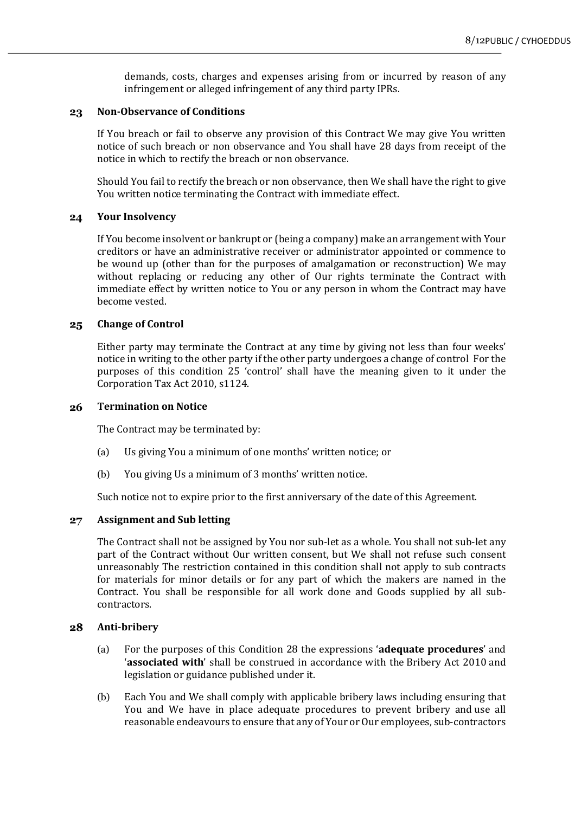demands, costs, charges and expenses arising from or incurred by reason of any infringement or alleged infringement of any third party IPRs.

## 23 **Non-Observance of Conditions**

If You breach or fail to observe any provision of this Contract We may give You written notice of such breach or non observance and You shall have 28 days from receipt of the notice in which to rectify the breach or non observance.

Should You fail to rectify the breach or non observance, then We shall have the right to give You written notice terminating the Contract with immediate effect.

#### **Your Insolvency** 24

If You become insolvent or bankrupt or (being a company) make an arrangement with Your creditors or have an administrative receiver or administrator appointed or commence to be wound up (other than for the purposes of amalgamation or reconstruction) We may without replacing or reducing any other of Our rights terminate the Contract with immediate effect by written notice to You or any person in whom the Contract may have become vested.

#### **Change of Control**  $25$

Either party may terminate the Contract at any time by giving not less than four weeks' notice in writing to the other party if the other party undergoes a change of control For the purposes of this condition 25 'control' shall have the meaning given to it under the Corporation Tax Act 2010, s1124.

#### **Termination on Notice** 26

The Contract may be terminated by:

- (a) Us giving You a minimum of one months' written notice; or
- (b) You giving Us a minimum of 3 months' written notice.

Such notice not to expire prior to the first anniversary of the date of this Agreement.

## $27$ **Assignment and Sub letting**

The Contract shall not be assigned by You nor sub-let as a whole. You shall not sub-let any part of the Contract without Our written consent, but We shall not refuse such consent unreasonably The restriction contained in this condition shall not apply to sub contracts for materials for minor details or for any part of which the makers are named in the Contract. You shall be responsible for all work done and Goods supplied by all subcontractors.

#### 28 **Anti-bribery**

- (a) For the purposes of this Condition 28 the expressions 'adequate procedures' and 'associated with' shall be construed in accordance with the Bribery Act 2010 and legislation or guidance published under it.
- (b) Each You and We shall comply with applicable bribery laws including ensuring that You and We have in place adequate procedures to prevent bribery and use all reasonable endeavours to ensure that any of Your or Our employees, sub-contractors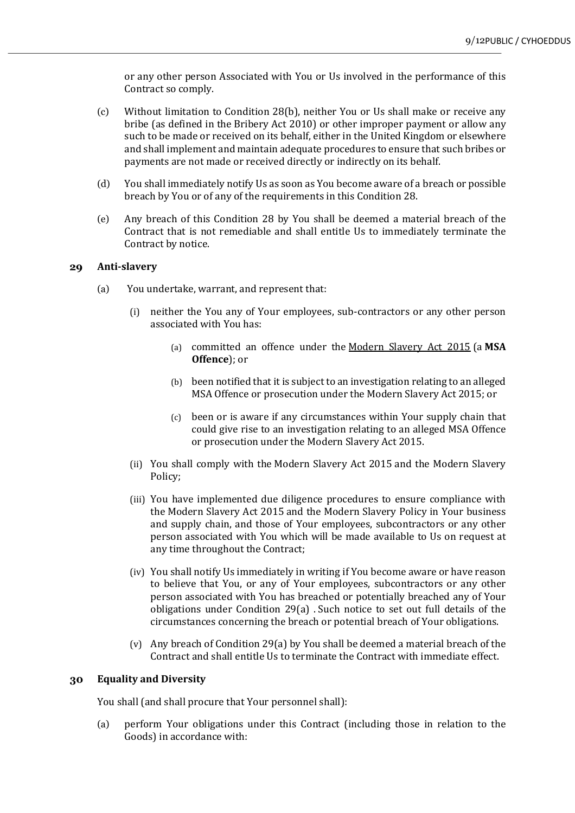or any other person Associated with You or Us involved in the performance of this Contract so comply.

- (c) Without limitation to Condition 28(b), neither You or Us shall make or receive any bribe (as defined in the Bribery Act 2010) or other improper payment or allow any such to be made or received on its behalf, either in the United Kingdom or elsewhere and shall implement and maintain adequate procedures to ensure that such bribes or payments are not made or received directly or indirectly on its behalf.
- (d) You shall immediately notify Us as soon as You become aware of a breach or possible breach by You or of any of the requirements in this Condition 28.
- (e) Any breach of this Condition 28 by You shall be deemed a material breach of the Contract that is not remediable and shall entitle Us to immediately terminate the Contract by notice.

## 29 **Anti-slavery**

- (a) You undertake, warrant, and represent that:
	- (i) neither the You any of Your employees, sub-contractors or any other person associated with You has:
		- (a) committed an offence under the Modern Slavery Act 2015 (a **MSA Offence**); or
		- (b) been notified that it is subject to an investigation relating to an alleged MSA Offence or prosecution under the Modern Slavery Act 2015; or
		- $(c)$  been or is aware if any circumstances within Your supply chain that could give rise to an investigation relating to an alleged MSA Offence or prosecution under the Modern Slavery Act 2015.
	- (ii) You shall comply with the Modern Slavery Act 2015 and the Modern Slavery Policy;
	- (iii) You have implemented due diligence procedures to ensure compliance with the Modern Slavery Act 2015 and the Modern Slavery Policy in Your business and supply chain, and those of Your employees, subcontractors or any other person associated with You which will be made available to Us on request at any time throughout the Contract;
	- (iv) You shall notify Us immediately in writing if You become aware or have reason to believe that You, or any of Your employees, subcontractors or any other person associated with You has breached or potentially breached any of Your obligations under Condition  $29(a)$ . Such notice to set out full details of the circumstances concerning the breach or potential breach of Your obligations.
	- (v) Any breach of Condition 29(a) by You shall be deemed a material breach of the Contract and shall entitle Us to terminate the Contract with immediate effect.

## **Equality and Diversity** 30

You shall (and shall procure that Your personnel shall):

(a) perform Your obligations under this Contract (including those in relation to the Goods) in accordance with: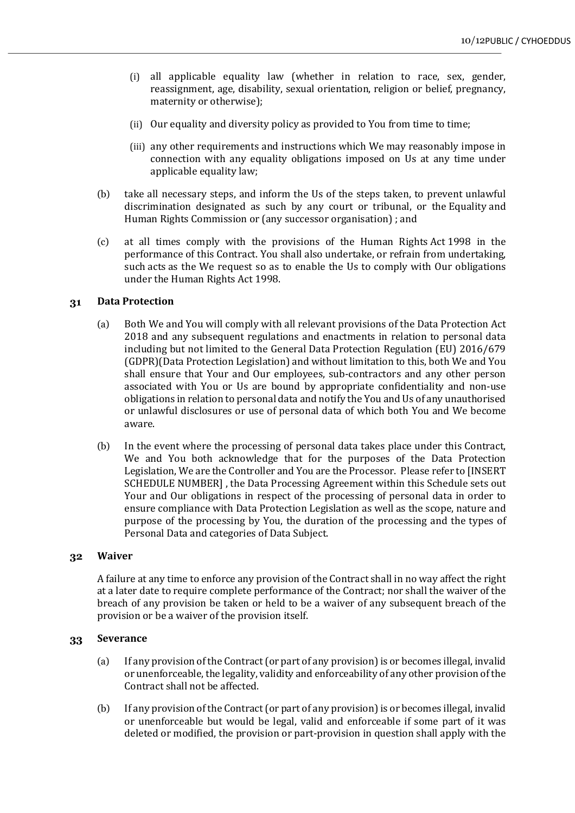- (i) all applicable equality law (whether in relation to race, sex, gender, reassignment, age, disability, sexual orientation, religion or belief, pregnancy, maternity or otherwise);
- (ii) Our equality and diversity policy as provided to You from time to time;
- (iii) any other requirements and instructions which We may reasonably impose in connection with any equality obligations imposed on Us at any time under applicable equality law;
- (b) take all necessary steps, and inform the Us of the steps taken, to prevent unlawful discrimination designated as such by any court or tribunal, or the Equality and Human Rights Commission or (any successor organisation) ; and
- (c) at all times comply with the provisions of the Human Rights Act 1998 in the performance of this Contract. You shall also undertake, or refrain from undertaking, such acts as the We request so as to enable the Us to comply with Our obligations under the Human Rights Act 1998.

# **Data Protection**  31

- (a) Both We and You will comply with all relevant provisions of the Data Protection Act 2018 and any subsequent regulations and enactments in relation to personal data including but not limited to the General Data Protection Regulation  $(EU)$  2016/679 (GDPR)(Data Protection Legislation) and without limitation to this, both We and You shall ensure that Your and Our employees, sub-contractors and any other person associated with You or Us are bound by appropriate confidentiality and non-use obligations in relation to personal data and notify the You and Us of any unauthorised or unlawful disclosures or use of personal data of which both You and We become aware.
- (b) In the event where the processing of personal data takes place under this Contract, We and You both acknowledge that for the purposes of the Data Protection Legislation, We are the Controller and You are the Processor. Please refer to [INSERT] SCHEDULE NUMBER], the Data Processing Agreement within this Schedule sets out Your and Our obligations in respect of the processing of personal data in order to ensure compliance with Data Protection Legislation as well as the scope, nature and purpose of the processing by You, the duration of the processing and the types of Personal Data and categories of Data Subject.

# $32$ **Waiver**

A failure at any time to enforce any provision of the Contract shall in no way affect the right at a later date to require complete performance of the Contract; nor shall the waiver of the breach of any provision be taken or held to be a waiver of any subsequent breach of the provision or be a waiver of the provision itself.

## **Severance**  33

- (a) If any provision of the Contract (or part of any provision) is or becomes illegal, invalid or unenforceable, the legality, validity and enforceability of any other provision of the Contract shall not be affected.
- (b) If any provision of the Contract (or part of any provision) is or becomes illegal, invalid or unenforceable but would be legal, valid and enforceable if some part of it was deleted or modified, the provision or part-provision in question shall apply with the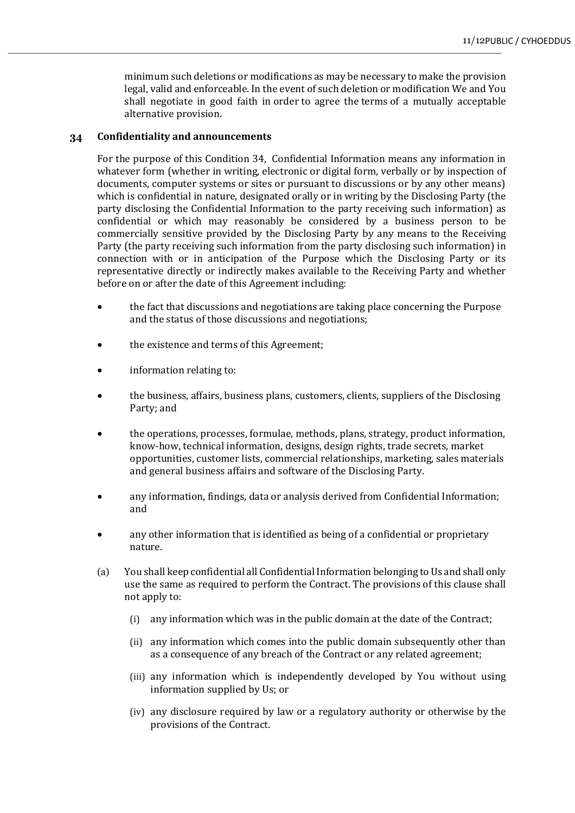minimum such deletions or modifications as may be necessary to make the provision legal, valid and enforceable. In the event of such deletion or modification We and You shall negotiate in good faith in order to agree the terms of a mutually acceptable alternative provision.

## **Confidentiality and announcements** 34

For the purpose of this Condition 34, Confidential Information means any information in whatever form (whether in writing, electronic or digital form, verbally or by inspection of documents, computer systems or sites or pursuant to discussions or by any other means) which is confidential in nature, designated orally or in writing by the Disclosing Party (the party disclosing the Confidential Information to the party receiving such information) as confidential or which may reasonably be considered by a business person to be commercially sensitive provided by the Disclosing Party by any means to the Receiving Party (the party receiving such information from the party disclosing such information) in connection with or in anticipation of the Purpose which the Disclosing Party or its representative directly or indirectly makes available to the Receiving Party and whether before on or after the date of this Agreement including:

- the fact that discussions and negotiations are taking place concerning the Purpose and the status of those discussions and negotiations;
- the existence and terms of this Agreement;
- information relating to:
- the business, affairs, business plans, customers, clients, suppliers of the Disclosing Party; and
- the operations, processes, formulae, methods, plans, strategy, product information, know-how, technical information, designs, design rights, trade secrets, market opportunities, customer lists, commercial relationships, marketing, sales materials and general business affairs and software of the Disclosing Party.
- any information, findings, data or analysis derived from Confidential Information; and
- any other information that is identified as being of a confidential or proprietary nature.
- (a) You shall keep confidential all Confidential Information belonging to Us and shall only use the same as required to perform the Contract. The provisions of this clause shall not apply to:
	- (i) any information which was in the public domain at the date of the Contract;
	- (ii) any information which comes into the public domain subsequently other than as a consequence of any breach of the Contract or any related agreement;
	- (iii) any information which is independently developed by You without using information supplied by Us; or
	- (iv) any disclosure required by law or a regulatory authority or otherwise by the provisions of the Contract.